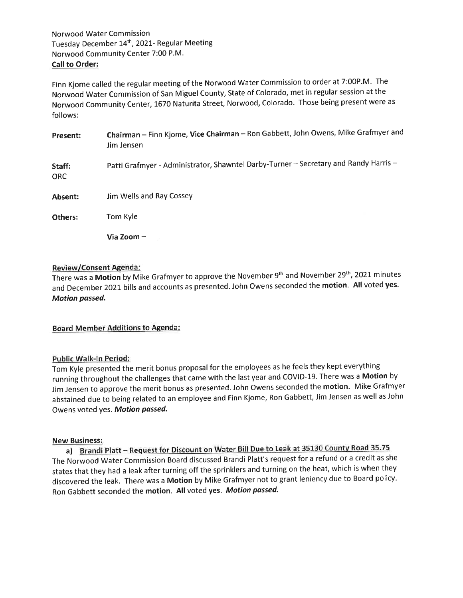Finn Kjome called the regular meeting of the Norwood Water Commission to order at 7:00P.M. The Norwood Water Commission of San Miguel County, State of Colorado, met in regular session at the Norwood Community Center, 1670 Naturita Street, Norwood, Colorado. Those being present were as follows:

| <b>Present:</b> | Chairman - Finn Kjome, Vice Chairman - Ron Gabbett, John Owens, Mike Grafmyer and<br>Jim Jensen |
|-----------------|-------------------------------------------------------------------------------------------------|
| Staff:<br>ORC.  | Patti Grafmyer - Administrator, Shawntel Darby-Turner - Secretary and Randy Harris -            |
| Absent:         | Jim Wells and Ray Cossey                                                                        |
| Others:         | Tom Kyle                                                                                        |
|                 | Via Zoom –                                                                                      |

#### Review/Consent Agenda:

There was a Motion by Mike Grafmyer to approve the November 9<sup>th</sup> and November 29<sup>th</sup>, 2021 minutes and December 2021 bills and accounts as presented. John Owens seconded the motion. All voted yes. Motion passed.

#### **Board Member Additions to Agenda:**

#### Public Walk-ln Period:

fom fyle presented the merit bonus proposal for the employees as he feels they kept everything running throughout the challenges that came with the last year and COVID-19. There was a Motion by Jim Jensen to approve the merit bonus as presented. John Owens seconded the motion. Mike Grafmyer abstained due to being related to an employee and Finn Kjome, Ron Gabbett, Jim Jensen as well as John Owens voted yes. Motion passed.

#### New Business:

a) Brandi Platt - Request for Discount on Water Bill Due to Leak at 35130 County Road 35.75 The Norwood Water Commission Board discussed Brandi Platt's request for a refund or a credit as she states that they had a leak after turning off the sprinklers and turning on the heat, which is when they discovered the leak. There was a Motion by Mike Grafmyer not to grant leniency due to Board policy. Ron Gabbett seconded the motion. All voted yes. Motion passed.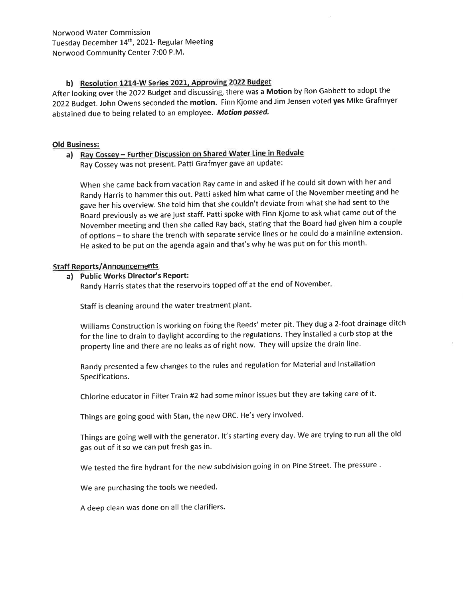Norwood Water Commission Tuesday December 14<sup>th</sup>, 2021- Regular Meeting Norwood Community Center 7:00 P.M.

## b) Resolution 1214-W Series 2021, Approving 2022 Budget

After looking over the 2022 Budget and discussing, there was a Motion by Ron Gabbett to adopt the 2022 Budget. John Owens seconded the motion. Finn Kjome and Jim Jensen voted yes Mike Grafmyer abstained due to being related to an employee. Motion passed.

#### Old Business:

# a) Ray Cossey - Further Discussion on Shared Water Line in Redvale

Ray Cossey was not present. Patti Grafmyer gave an update:

When she came back from vacation Ray came in and asked if he could sit down with her and Randy Harris to hammer this out. Patti asked him what came of the November meeting and he gave her his overview. She told him that she couldn't deviate from what she had sent to the Board previously as we are just staff. Patti spoke with Finn Kjome to ask what came out of the November meeting and then she called Ray back, stating that the Board had given him a couple of options - to share the trench with separate service lines or he could do a mainline extension. He asked to be put on the agenda again and that's why he was put on for this month.

#### Staff Reports/Announcements

#### a) Public Works Director's Report:

Randy Harris states that the reservoirs topped off at the end of November

Staff is cleaning around the water treatment plant.

Williams Construction is working on fixing the Reeds' meter pit. They dug a 2-foot drainage ditch for the line to drain to daylight according to the regulations. They installed a curb stop at the property line and there are no leaks as of right now. They will upsize the drain line.

Randy presented a few changes to the rules and regulation for Material and lnstallation Specifications.

Chlorine educator in Filter Train #2 had some minor issues but they are taking care of it.

Things are going good with Stan, the new ORC. He's very involved.

Things are going well with the generator. lt's starting every day. We are trying to run all the old gas out of it so we can put fresh gas in.

We tested the fire hydrant for the new subdivision going in on Pine Street. The pressure .

We are purchasing the tools we needed.

A deep clean was done on all the clarifiers.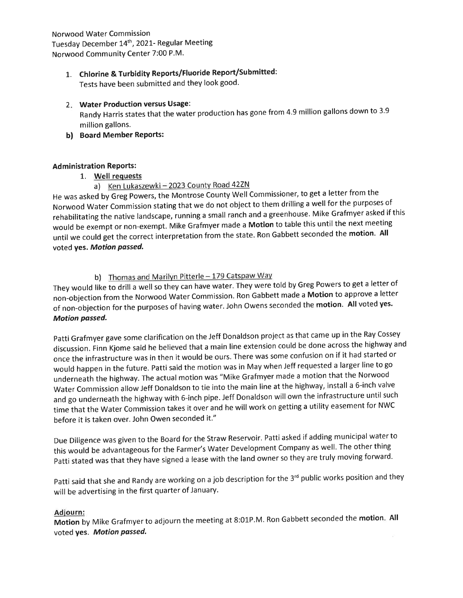Norwood Water Commission Tuesday December 14th,2O2I- Regular Meeting Norwood Community Center 7:00 P.M.

# 1. Chlorine & Turbidity Reports/Fluoride Report/Submitted:

Tests have been submitted and they look good.

## 2. Water Production versus Usage:

Randy Harris states that the water production has gone from 4.9 million gallons down to 3.9 million gallons.

b) Board Member Reports:

## **Administration Reports:**

1. Well requests

# a) Ken Lukaszewki - 2023 County Road 42ZN

He was asked by Greg powers, the Montrose County Well Commissioner, to get a letter from the Norwood water commission stating that we do not object to them drilling a well for the purposes of rehabilitating the native landscape, running a small ranch and a greenhouse. Mike Grafmyer asked if this would be exempt or non-exempt. Mike Grafmyer made a Motion to table this until the next meeting until we could get the correct interpretation from the state. Ron Gabbett seconded the motion. All voted yes. Motion passed.

# b) Thomas and Marilyn Pitterle - 179 Catspaw Way

They would like to drill a well so they can have water. They were told by Greg Powers to get a letter of non-objection from the Norwood Water Commission. Ron Gabbett made a Motion to approve a letter of non-objection for the purposes of having water. John Owens seconded the motion. All voted yes. Motion passed.

patti Grafmyer gave some clarification on the Jeff Donaldson project as that came up in the Ray Cossey discussion. Finn Kjome said he believed that a main line extension could be done across the highway and once the infrastructure was in then it would be ours. There was some confusion on if it had started or would happen in the future. Patti said the motion was in May when Jeff requested a larger line to go underneath the highway. The actual motion was "Mike Grafmyer made a motion that the Norwood Water Commission allow Jeff Donaldson to tie into the main line at the highway, install a 6-inch valve and go underneath the highway with 6-inch pipe. Jeff Donaldson will own the infrastructure until such time that the Water Commission takes it over and he will work on getting a utility easement for NWC before it is taken over. John Owen seconded it."

Due Diligence was given to the Board for the Straw Reservoir. Patti asked if adding municipal water to this would be advantageous for the Farmer's Water Development Company as well. The other thing Patti stated was that they have signed a lease with the land owner so they are truly moving forward.

Patti said that she and Randy are working on a job description for the 3<sup>rd</sup> public works position and they will be advertising in the first quarter of January.

## Adiourn:

**Motion** by Mike Grafmyer to adjourn the meeting at 8:01P.M. Ron Gabbett seconded the **motion**. All voted yes. Motion passed.